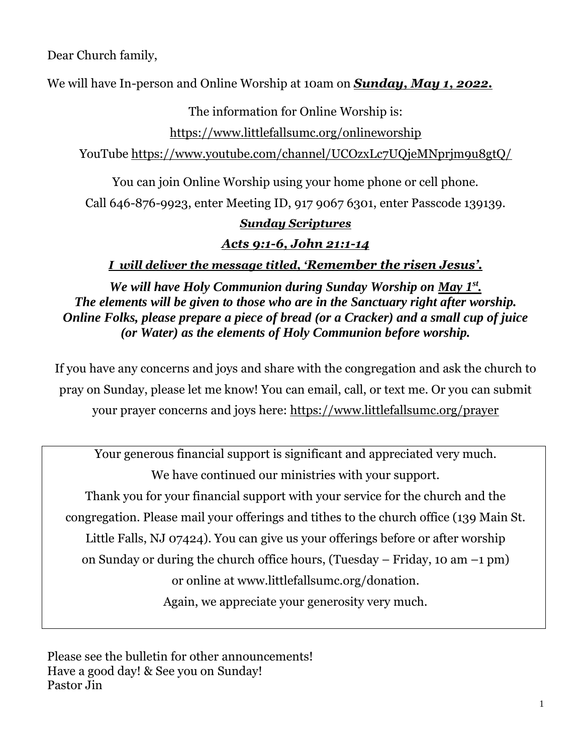Dear Church family,

We will have In-person and Online Worship at 10am on *Sunday, May 1, 2022.*

The information for Online Worship is:

## <https://www.littlefallsumc.org/onlineworship>

YouTube<https://www.youtube.com/channel/UCOzxLc7UQjeMNprjm9u8gtQ/>

You can join Online Worship using your home phone or cell phone.

Call 646-876-9923, enter Meeting ID, 917 9067 6301, enter Passcode 139139.

### *Sunday Scriptures*

## *Acts 9:1-6, John 21:1-14*

# *I will deliver the message titled, 'Remember the risen Jesus'.*

*We will have Holy Communion during Sunday Worship on May 1st . The elements will be given to those who are in the Sanctuary right after worship. Online Folks, please prepare a piece of bread (or a Cracker) and a small cup of juice (or Water) as the elements of Holy Communion before worship.*

If you have any concerns and joys and share with the congregation and ask the church to pray on Sunday, please let me know! You can email, call, or text me. Or you can submit your prayer concerns and joys here: <https://www.littlefallsumc.org/prayer>

Your generous financial support is significant and appreciated very much. We have continued our ministries with your support. Thank you for your financial support with your service for the church and the congregation. Please mail your offerings and tithes to the church office (139 Main St. Little Falls, NJ 07424). You can give us your offerings before or after worship on Sunday or during the church office hours, (Tuesday – Friday, 10 am –1 pm) or online at www.littlefallsumc.org/donation. Again, we appreciate your generosity very much.

Please see the bulletin for other announcements! Have a good day! & See you on Sunday! Pastor Jin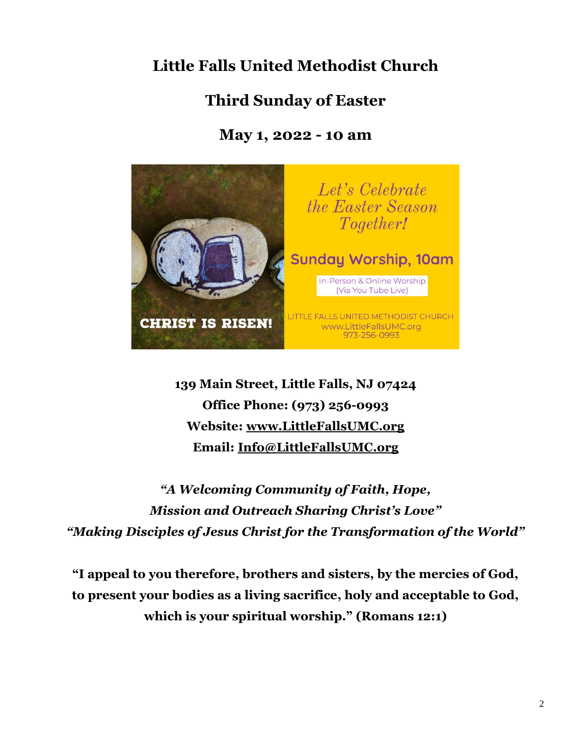# **Little Falls United Methodist Church**

# **Third Sunday of Easter**

# **May 1, 2022 - 10 am**



**139 Main Street, Little Falls, NJ 07424 Office Phone: (973) 256-0993 Website: [www.LittleFallsUMC.org](http://www.littlefallsumc.org/) Email: [Info@LittleFallsUMC.org](mailto:Info@LittleFallsUMC.org)**

*"A Welcoming Community of Faith, Hope, Mission and Outreach Sharing Christ's Love" "Making Disciples of Jesus Christ for the Transformation of the World"*

**"I appeal to you therefore, brothers and sisters, by the mercies of God, to present your bodies as a living sacrifice, holy and acceptable to God, which is your spiritual worship." (Romans 12:1)**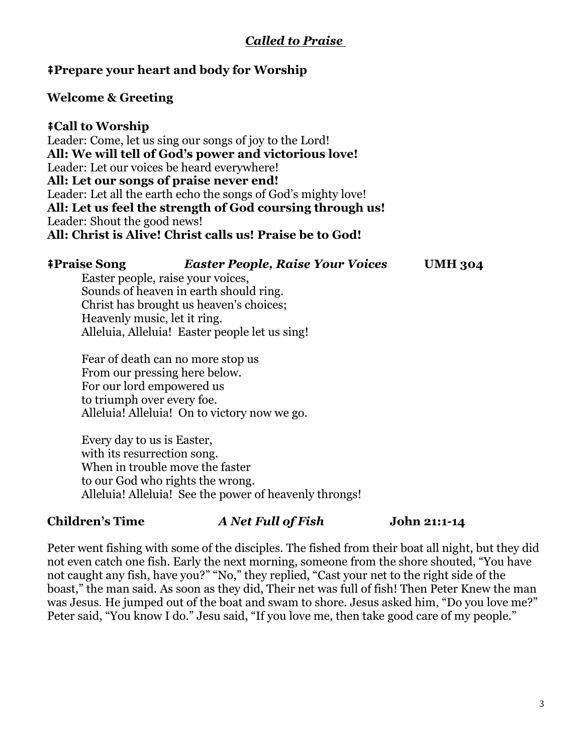### *Called to Praise*

### ⭻**Prepare your heart and body for Worship**

### **Welcome & Greeting**

### ⭻**Call to Worship**

Leader: Come, let us sing our songs of joy to the Lord! **All: We will tell of God's power and victorious love!** Leader: Let our voices be heard everywhere! **All: Let our songs of praise never end!** Leader: Let all the earth echo the songs of God's mighty love! **All: Let us feel the strength of God coursing through us!** Leader: Shout the good news! **All: Christ is Alive! Christ calls us! Praise be to God!**

| <b>‡Praise Song</b> | <b>Easter People, Raise Your Voices</b> | <b>UMH 304</b> |
|---------------------|-----------------------------------------|----------------|
|                     | Easter people, raise your voices,       |                |
|                     |                                         |                |

Sounds of heaven in earth should ring. Christ has brought us heaven's choices; Heavenly music, let it ring. Alleluia, Alleluia! Easter people let us sing!

Fear of death can no more stop us From our pressing here below. For our lord empowered us to triumph over every foe. Alleluia! Alleluia! On to victory now we go.

Every day to us is Easter, with its resurrection song. When in trouble move the faster to our God who rights the wrong. Alleluia! Alleluia! See the power of heavenly throngs!

### **Children's Time** *A Net Full of Fish* **John 21:1-14**

Peter went fishing with some of the disciples. The fished from their boat all night, but they did not even catch one fish. Early the next morning, someone from the shore shouted, "You have not caught any fish, have you?" "No," they replied, "Cast your net to the right side of the boast," the man said. As soon as they did, Their net was full of fish! Then Peter Knew the man was Jesus. He jumped out of the boat and swam to shore. Jesus asked him, "Do you love me?" Peter said, "You know I do." Jesu said, "If you love me, then take good care of my people."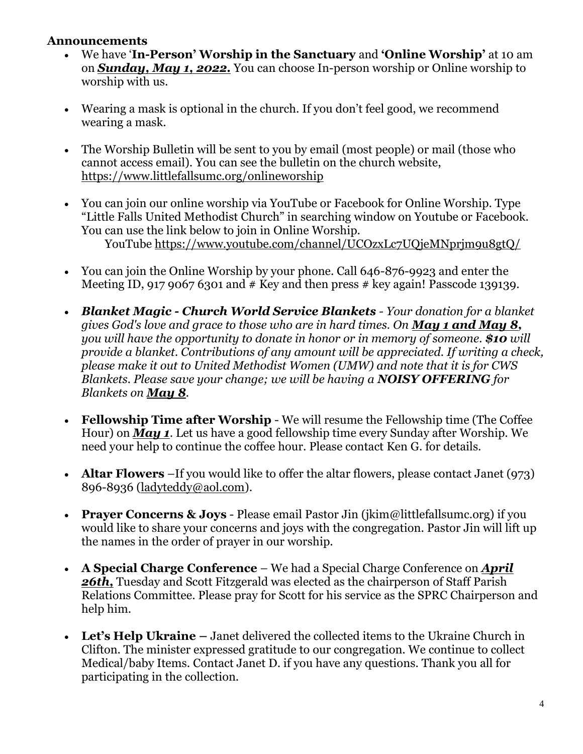### **Announcements**

- We have '**In-Person' Worship in the Sanctuary** and **'Online Worship'** at 10 am on *Sunday, May 1, 2022.* You can choose In-person worship or Online worship to worship with us.
- Wearing a mask is optional in the church. If you don't feel good, we recommend wearing a mask.
- The Worship Bulletin will be sent to you by email (most people) or mail (those who cannot access email). You can see the bulletin on the church website, <https://www.littlefallsumc.org/onlineworship>
- You can join our online worship via YouTube or Facebook for Online Worship. Type "Little Falls United Methodist Church" in searching window on Youtube or Facebook. You can use the link below to join in Online Worship. YouTube<https://www.youtube.com/channel/UCOzxLc7UQjeMNprjm9u8gtQ/>
- You can join the Online Worship by your phone. Call 646-876-9923 and enter the Meeting ID, 917 9067 6301 and  $#$  Key and then press  $#$  key again! Passcode 139139.
- *Blanket Magic - Church World Service Blankets - Your donation for a blanket gives God's love and grace to those who are in hard times. On May 1 and May 8, you will have the opportunity to donate in honor or in memory of someone.* **\$10** *will provide a blanket. Contributions of any amount will be appreciated. If writing a check, please make it out to United Methodist Women (UMW) and note that it is for CWS Blankets. Please save your change; we will be having a NOISY OFFERING for Blankets on May 8.*
- **Fellowship Time after Worship** We will resume the Fellowship time (The Coffee Hour) on *May 1*. Let us have a good fellowship time every Sunday after Worship. We need your help to continue the coffee hour. Please contact Ken G. for details.
- **Altar Flowers** –If you would like to offer the altar flowers, please contact Janet (973) 896-8936 [\(ladyteddy@aol.com\)](mailto:ladyteddy@aol.com).
- **Prayer Concerns & Joys** Please email Pastor Jin (jkim@littlefallsumc.org) if you would like to share your concerns and joys with the congregation. Pastor Jin will lift up the names in the order of prayer in our worship.
- **A Special Charge Conference** We had a Special Charge Conference on *April 26th,* Tuesday and Scott Fitzgerald was elected as the chairperson of Staff Parish Relations Committee. Please pray for Scott for his service as the SPRC Chairperson and help him.
- Let's Help Ukraine Janet delivered the collected items to the Ukraine Church in Clifton. The minister expressed gratitude to our congregation. We continue to collect Medical/baby Items. Contact Janet D. if you have any questions. Thank you all for participating in the collection.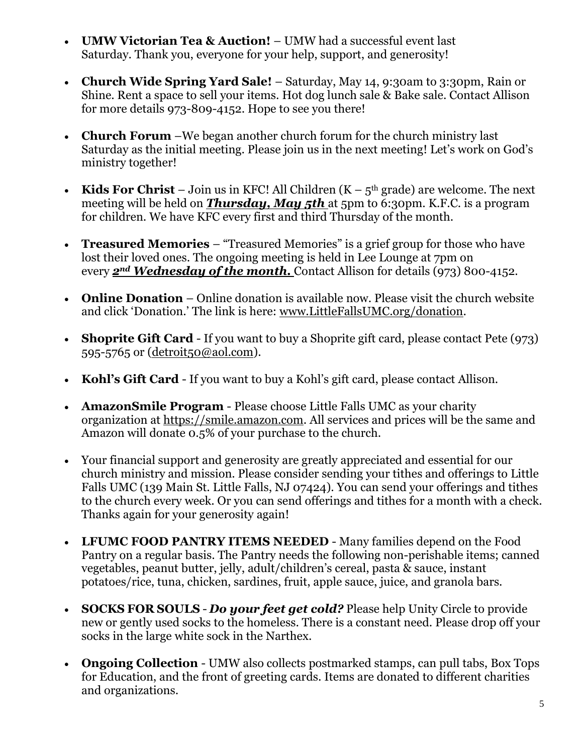- **UMW Victorian Tea & Auction!** UMW had a successful event last Saturday. Thank you, everyone for your help, support, and generosity!
- **Church Wide Spring Yard Sale!** Saturday, May 14, 9:30am to 3:30pm, Rain or Shine. Rent a space to sell your items. Hot dog lunch sale & Bake sale. Contact Allison for more details 973-809-4152. Hope to see you there!
- **Church Forum** We began another church forum for the church ministry last Saturday as the initial meeting. Please join us in the next meeting! Let's work on God's ministry together!
- **Kids For Christ** Join us in KFC! All Children  $(K 5<sup>th</sup> \text{ grade})$  are welcome. The next meeting will be held on *Thursday, May 5th* at 5pm to 6:30pm. K.F.C. is a program for children. We have KFC every first and third Thursday of the month.
- **Treasured Memories** "Treasured Memories" is a grief group for those who have lost their loved ones. The ongoing meeting is held in Lee Lounge at 7pm on every *2nd Wednesday of the month.* Contact Allison for details (973) 800-4152.
- **Online Donation** Online donation is available now. Please visit the church website and click 'Donation.' The link is here: [www.LittleFallsUMC.org/donation.](http://www.littlefallsumc.org/donation)
- **Shoprite Gift Card** If you want to buy a Shoprite gift card, please contact Pete (973) 595-5765 or [\(detroit50@aol.com\)](mailto:detroit50@aol.com).
- **Kohl's Gift Card** If you want to buy a Kohl's gift card, please contact Allison.
- **AmazonSmile Program**  Please choose Little Falls UMC as your charity organization at https://smile.amazon.com. All services and prices will be the same and Amazon will donate 0.5% of your purchase to the church.
- Your financial support and generosity are greatly appreciated and essential for our church ministry and mission. Please consider sending your tithes and offerings to Little Falls UMC (139 Main St. Little Falls, NJ 07424). You can send your offerings and tithes to the church every week. Or you can send offerings and tithes for a month with a check. Thanks again for your generosity again!
- **LFUMC FOOD PANTRY ITEMS NEEDED** Many families depend on the Food Pantry on a regular basis. The Pantry needs the following non-perishable items; canned vegetables, peanut butter, jelly, adult/children's cereal, pasta & sauce, instant potatoes/rice, tuna, chicken, sardines, fruit, apple sauce, juice, and granola bars.
- **SOCKS FOR SOULS** *Do your feet get cold?* Please help Unity Circle to provide new or gently used socks to the homeless. There is a constant need. Please drop off your socks in the large white sock in the Narthex.
- **Ongoing Collection** UMW also collects postmarked stamps, can pull tabs, Box Tops for Education, and the front of greeting cards. Items are donated to different charities and organizations.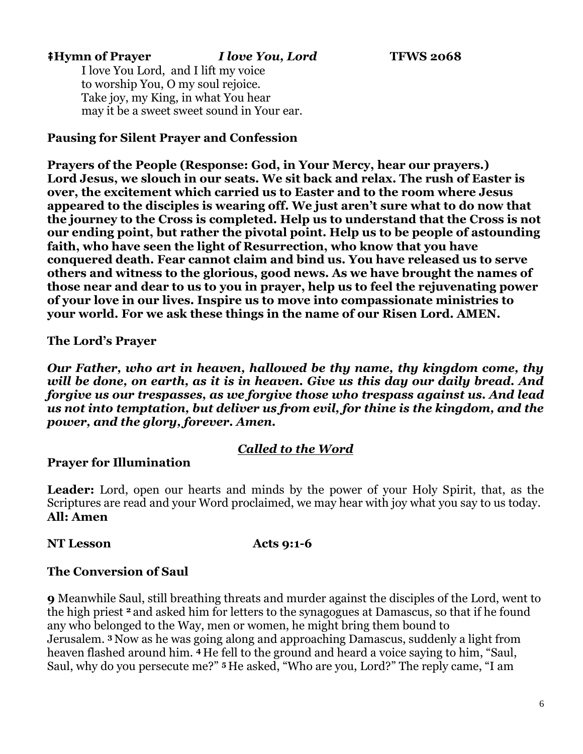### ⭻**Hymn of Prayer** *I love You, Lord* **TFWS 2068**

I love You Lord, and I lift my voice to worship You, O my soul rejoice. Take joy, my King, in what You hear may it be a sweet sweet sound in Your ear.

### **Pausing for Silent Prayer and Confession**

**Prayers of the People (Response: God, in Your Mercy, hear our prayers.) Lord Jesus, we slouch in our seats. We sit back and relax. The rush of Easter is over, the excitement which carried us to Easter and to the room where Jesus appeared to the disciples is wearing off. We just aren't sure what to do now that the journey to the Cross is completed. Help us to understand that the Cross is not our ending point, but rather the pivotal point. Help us to be people of astounding faith, who have seen the light of Resurrection, who know that you have conquered death. Fear cannot claim and bind us. You have released us to serve others and witness to the glorious, good news. As we have brought the names of those near and dear to us to you in prayer, help us to feel the rejuvenating power of your love in our lives. Inspire us to move into compassionate ministries to your world. For we ask these things in the name of our Risen Lord. AMEN.**

**The Lord's Prayer**

*Our Father, who art in heaven, hallowed be thy name, thy kingdom come, thy will be done, on earth, as it is in heaven. Give us this day our daily bread. And forgive us our trespasses, as we forgive those who trespass against us. And lead us not into temptation, but deliver us from evil, for thine is the kingdom, and the power, and the glory, forever. Amen.*

### *Called to the Word*

### **Prayer for Illumination**

Leader: Lord, open our hearts and minds by the power of your Holy Spirit, that, as the Scriptures are read and your Word proclaimed, we may hear with joy what you say to us today. **All: Amen**

### **NT Lesson Acts 9:1-6**

### **The Conversion of Saul**

**9** Meanwhile Saul, still breathing threats and murder against the disciples of the Lord, went to the high priest **<sup>2</sup>** and asked him for letters to the synagogues at Damascus, so that if he found any who belonged to the Way, men or women, he might bring them bound to Jerusalem. **<sup>3</sup>** Now as he was going along and approaching Damascus, suddenly a light from heaven flashed around him. **<sup>4</sup>** He fell to the ground and heard a voice saying to him, "Saul, Saul, why do you persecute me?" **<sup>5</sup>** He asked, "Who are you, Lord?" The reply came, "I am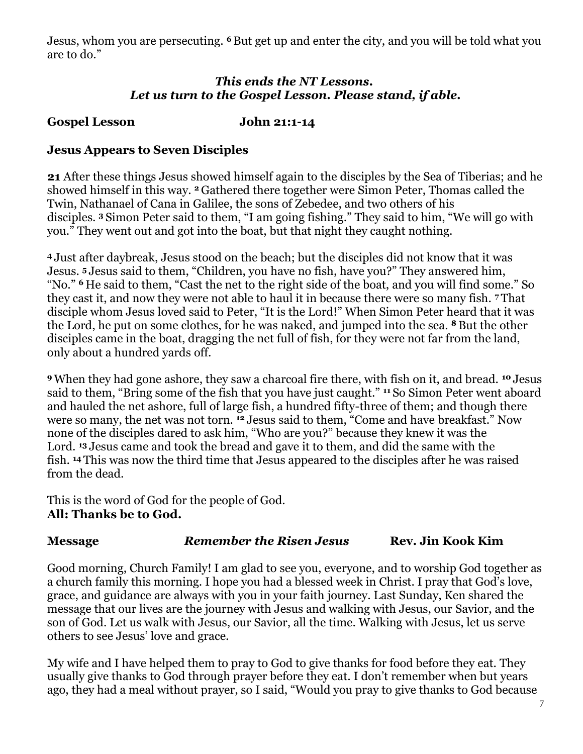Jesus, whom you are persecuting. **<sup>6</sup>**But get up and enter the city, and you will be told what you are to do."

### *This ends the NT Lessons. Let us turn to the Gospel Lesson. Please stand, if able.*

### **Gospel Lesson John 21:1-14**

### **Jesus Appears to Seven Disciples**

**21** After these things Jesus showed himself again to the disciples by the Sea of Tiberias; and he showed himself in this way. **<sup>2</sup>** Gathered there together were Simon Peter, Thomas called the Twin, Nathanael of Cana in Galilee, the sons of Zebedee, and two others of his disciples. **<sup>3</sup>** Simon Peter said to them, "I am going fishing." They said to him, "We will go with you." They went out and got into the boat, but that night they caught nothing.

**<sup>4</sup>** Just after daybreak, Jesus stood on the beach; but the disciples did not know that it was Jesus. **<sup>5</sup>** Jesus said to them, "Children, you have no fish, have you?" They answered him, "No." **<sup>6</sup>** He said to them, "Cast the net to the right side of the boat, and you will find some." So they cast it, and now they were not able to haul it in because there were so many fish. **<sup>7</sup>** That disciple whom Jesus loved said to Peter, "It is the Lord!" When Simon Peter heard that it was the Lord, he put on some clothes, for he was naked, and jumped into the sea. **<sup>8</sup>** But the other disciples came in the boat, dragging the net full of fish, for they were not far from the land, only about a hundred yards off.

**<sup>9</sup>**When they had gone ashore, they saw a charcoal fire there, with fish on it, and bread. **<sup>10</sup>** Jesus said to them, "Bring some of the fish that you have just caught." **<sup>11</sup>** So Simon Peter went aboard and hauled the net ashore, full of large fish, a hundred fifty-three of them; and though there were so many, the net was not torn. **<sup>12</sup>** Jesus said to them, "Come and have breakfast." Now none of the disciples dared to ask him, "Who are you?" because they knew it was the Lord. **<sup>13</sup>** Jesus came and took the bread and gave it to them, and did the same with the fish. **<sup>14</sup>** This was now the third time that Jesus appeared to the disciples after he was raised from the dead.

This is the word of God for the people of God. **All: Thanks be to God.**

### **Message** *Remember the Risen Jesus* **Rev. Jin Kook Kim**

Good morning, Church Family! I am glad to see you, everyone, and to worship God together as a church family this morning. I hope you had a blessed week in Christ. I pray that God's love, grace, and guidance are always with you in your faith journey. Last Sunday, Ken shared the message that our lives are the journey with Jesus and walking with Jesus, our Savior, and the son of God. Let us walk with Jesus, our Savior, all the time. Walking with Jesus, let us serve others to see Jesus' love and grace.

My wife and I have helped them to pray to God to give thanks for food before they eat. They usually give thanks to God through prayer before they eat. I don't remember when but years ago, they had a meal without prayer, so I said, "Would you pray to give thanks to God because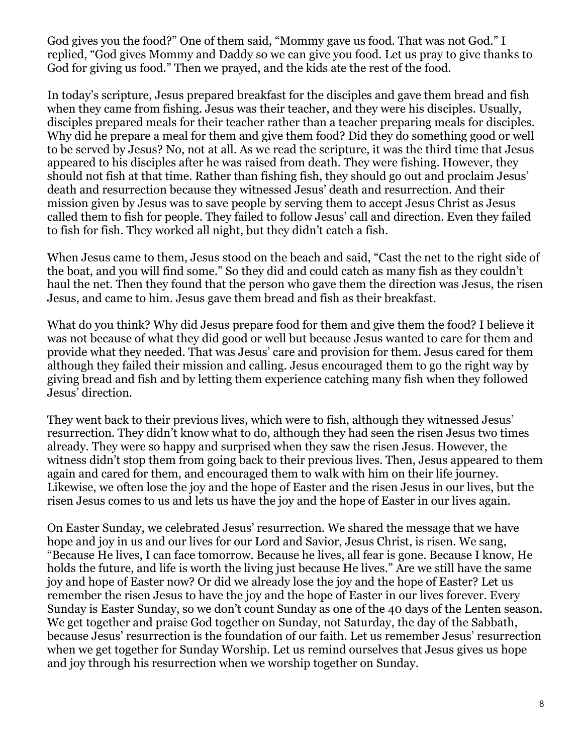God gives you the food?" One of them said, "Mommy gave us food. That was not God." I replied, "God gives Mommy and Daddy so we can give you food. Let us pray to give thanks to God for giving us food." Then we prayed, and the kids ate the rest of the food.

In today's scripture, Jesus prepared breakfast for the disciples and gave them bread and fish when they came from fishing. Jesus was their teacher, and they were his disciples. Usually, disciples prepared meals for their teacher rather than a teacher preparing meals for disciples. Why did he prepare a meal for them and give them food? Did they do something good or well to be served by Jesus? No, not at all. As we read the scripture, it was the third time that Jesus appeared to his disciples after he was raised from death. They were fishing. However, they should not fish at that time. Rather than fishing fish, they should go out and proclaim Jesus' death and resurrection because they witnessed Jesus' death and resurrection. And their mission given by Jesus was to save people by serving them to accept Jesus Christ as Jesus called them to fish for people. They failed to follow Jesus' call and direction. Even they failed to fish for fish. They worked all night, but they didn't catch a fish.

When Jesus came to them, Jesus stood on the beach and said, "Cast the net to the right side of the boat, and you will find some." So they did and could catch as many fish as they couldn't haul the net. Then they found that the person who gave them the direction was Jesus, the risen Jesus, and came to him. Jesus gave them bread and fish as their breakfast.

What do you think? Why did Jesus prepare food for them and give them the food? I believe it was not because of what they did good or well but because Jesus wanted to care for them and provide what they needed. That was Jesus' care and provision for them. Jesus cared for them although they failed their mission and calling. Jesus encouraged them to go the right way by giving bread and fish and by letting them experience catching many fish when they followed Jesus' direction.

They went back to their previous lives, which were to fish, although they witnessed Jesus' resurrection. They didn't know what to do, although they had seen the risen Jesus two times already. They were so happy and surprised when they saw the risen Jesus. However, the witness didn't stop them from going back to their previous lives. Then, Jesus appeared to them again and cared for them, and encouraged them to walk with him on their life journey. Likewise, we often lose the joy and the hope of Easter and the risen Jesus in our lives, but the risen Jesus comes to us and lets us have the joy and the hope of Easter in our lives again.

On Easter Sunday, we celebrated Jesus' resurrection. We shared the message that we have hope and joy in us and our lives for our Lord and Savior, Jesus Christ, is risen. We sang, "Because He lives, I can face tomorrow. Because he lives, all fear is gone. Because I know, He holds the future, and life is worth the living just because He lives." Are we still have the same joy and hope of Easter now? Or did we already lose the joy and the hope of Easter? Let us remember the risen Jesus to have the joy and the hope of Easter in our lives forever. Every Sunday is Easter Sunday, so we don't count Sunday as one of the 40 days of the Lenten season. We get together and praise God together on Sunday, not Saturday, the day of the Sabbath, because Jesus' resurrection is the foundation of our faith. Let us remember Jesus' resurrection when we get together for Sunday Worship. Let us remind ourselves that Jesus gives us hope and joy through his resurrection when we worship together on Sunday.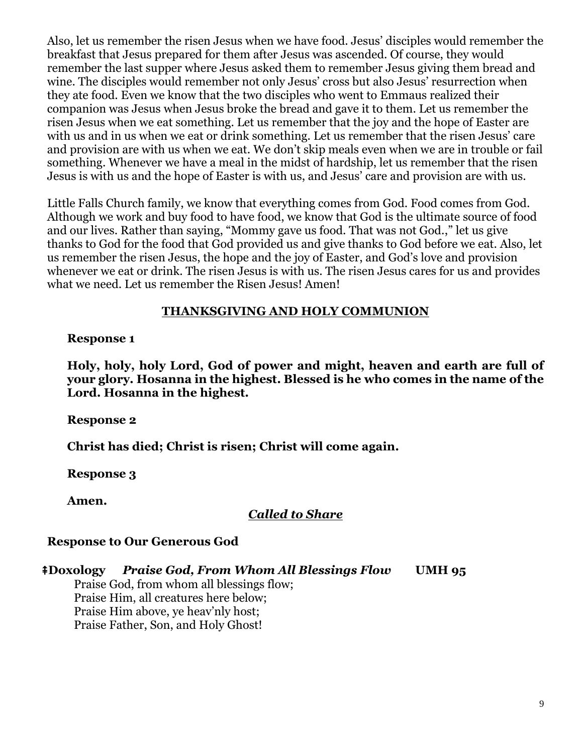Also, let us remember the risen Jesus when we have food. Jesus' disciples would remember the breakfast that Jesus prepared for them after Jesus was ascended. Of course, they would remember the last supper where Jesus asked them to remember Jesus giving them bread and wine. The disciples would remember not only Jesus' cross but also Jesus' resurrection when they ate food. Even we know that the two disciples who went to Emmaus realized their companion was Jesus when Jesus broke the bread and gave it to them. Let us remember the risen Jesus when we eat something. Let us remember that the joy and the hope of Easter are with us and in us when we eat or drink something. Let us remember that the risen Jesus' care and provision are with us when we eat. We don't skip meals even when we are in trouble or fail something. Whenever we have a meal in the midst of hardship, let us remember that the risen Jesus is with us and the hope of Easter is with us, and Jesus' care and provision are with us.

Little Falls Church family, we know that everything comes from God. Food comes from God. Although we work and buy food to have food, we know that God is the ultimate source of food and our lives. Rather than saying, "Mommy gave us food. That was not God.," let us give thanks to God for the food that God provided us and give thanks to God before we eat. Also, let us remember the risen Jesus, the hope and the joy of Easter, and God's love and provision whenever we eat or drink. The risen Jesus is with us. The risen Jesus cares for us and provides what we need. Let us remember the Risen Jesus! Amen!

### **THANKSGIVING AND HOLY COMMUNION**

### **Response 1**

**Holy, holy, holy Lord, God of power and might, heaven and earth are full of your glory. Hosanna in the highest. Blessed is he who comes in the name of the Lord. Hosanna in the highest.**

**Response 2**

**Christ has died; Christ is risen; Christ will come again.**

**Response 3**

**Amen.**

### *Called to Share*

### **Response to Our Generous God**

### ⭻**Doxology** *Praise God, From Whom All Blessings Flow* **UMH 95**

Praise God, from whom all blessings flow; Praise Him, all creatures here below; Praise Him above, ye heav'nly host; Praise Father, Son, and Holy Ghost!